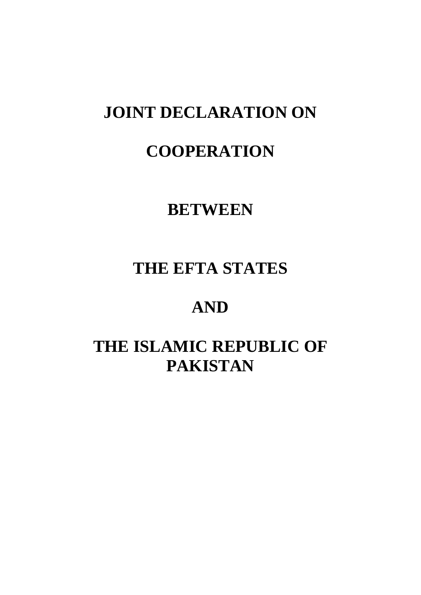## **JOINT DECLARATION ON**

## **COOPERATION**

## **BETWEEN**

## **THE EFTA STATES**

# **AND**

# **THE ISLAMIC REPUBLIC OF PAKISTAN**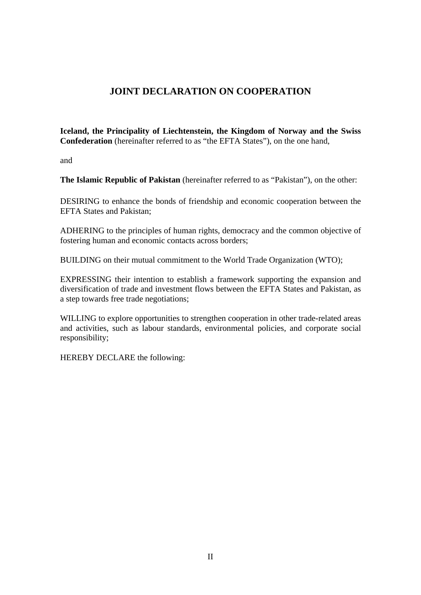### **JOINT DECLARATION ON COOPERATION**

**Iceland, the Principality of Liechtenstein, the Kingdom of Norway and the Swiss Confederation** (hereinafter referred to as "the EFTA States"), on the one hand,

and

**The Islamic Republic of Pakistan** (hereinafter referred to as "Pakistan"), on the other:

DESIRING to enhance the bonds of friendship and economic cooperation between the EFTA States and Pakistan;

ADHERING to the principles of human rights, democracy and the common objective of fostering human and economic contacts across borders;

BUILDING on their mutual commitment to the World Trade Organization (WTO);

EXPRESSING their intention to establish a framework supporting the expansion and diversification of trade and investment flows between the EFTA States and Pakistan, as a step towards free trade negotiations;

WILLING to explore opportunities to strengthen cooperation in other trade-related areas and activities, such as labour standards, environmental policies, and corporate social responsibility;

HEREBY DECLARE the following: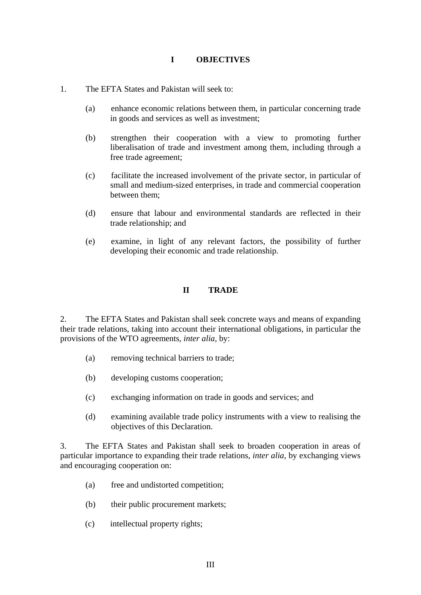### **I OBJECTIVES**

- 1. The EFTA States and Pakistan will seek to:
	- (a) enhance economic relations between them, in particular concerning trade in goods and services as well as investment;
	- (b) strengthen their cooperation with a view to promoting further liberalisation of trade and investment among them, including through a free trade agreement;
	- (c) facilitate the increased involvement of the private sector, in particular of small and medium-sized enterprises, in trade and commercial cooperation between them;
	- (d) ensure that labour and environmental standards are reflected in their trade relationship; and
	- (e) examine, in light of any relevant factors, the possibility of further developing their economic and trade relationship.

#### **II TRADE**

2. The EFTA States and Pakistan shall seek concrete ways and means of expanding their trade relations, taking into account their international obligations, in particular the provisions of the WTO agreements, *inter alia,* by:

- (a) removing technical barriers to trade;
- (b) developing customs cooperation;
- (c) exchanging information on trade in goods and services; and
- (d) examining available trade policy instruments with a view to realising the objectives of this Declaration.

3. The EFTA States and Pakistan shall seek to broaden cooperation in areas of particular importance to expanding their trade relations, *inter alia,* by exchanging views and encouraging cooperation on:

- (a) free and undistorted competition;
- (b) their public procurement markets;
- (c) intellectual property rights;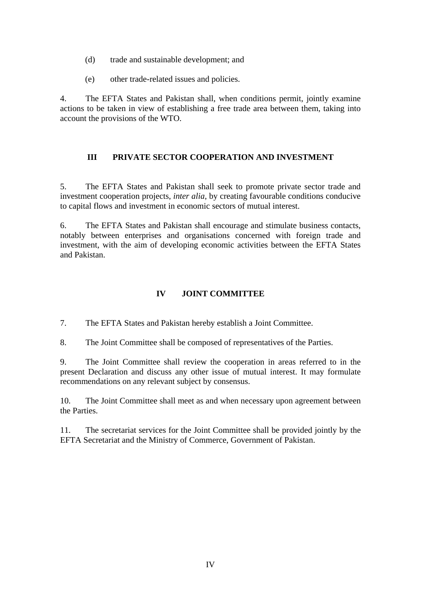- (d) trade and sustainable development; and
- (e) other trade-related issues and policies.

4. The EFTA States and Pakistan shall, when conditions permit, jointly examine actions to be taken in view of establishing a free trade area between them, taking into account the provisions of the WTO.

### **III PRIVATE SECTOR COOPERATION AND INVESTMENT**

5. The EFTA States and Pakistan shall seek to promote private sector trade and investment cooperation projects, *inter alia*, by creating favourable conditions conducive to capital flows and investment in economic sectors of mutual interest.

6. The EFTA States and Pakistan shall encourage and stimulate business contacts, notably between enterprises and organisations concerned with foreign trade and investment, with the aim of developing economic activities between the EFTA States and Pakistan.

### **IV JOINT COMMITTEE**

7. The EFTA States and Pakistan hereby establish a Joint Committee.

8. The Joint Committee shall be composed of representatives of the Parties.

9. The Joint Committee shall review the cooperation in areas referred to in the present Declaration and discuss any other issue of mutual interest. It may formulate recommendations on any relevant subject by consensus.

10. The Joint Committee shall meet as and when necessary upon agreement between the Parties.

11. The secretariat services for the Joint Committee shall be provided jointly by the EFTA Secretariat and the Ministry of Commerce, Government of Pakistan.